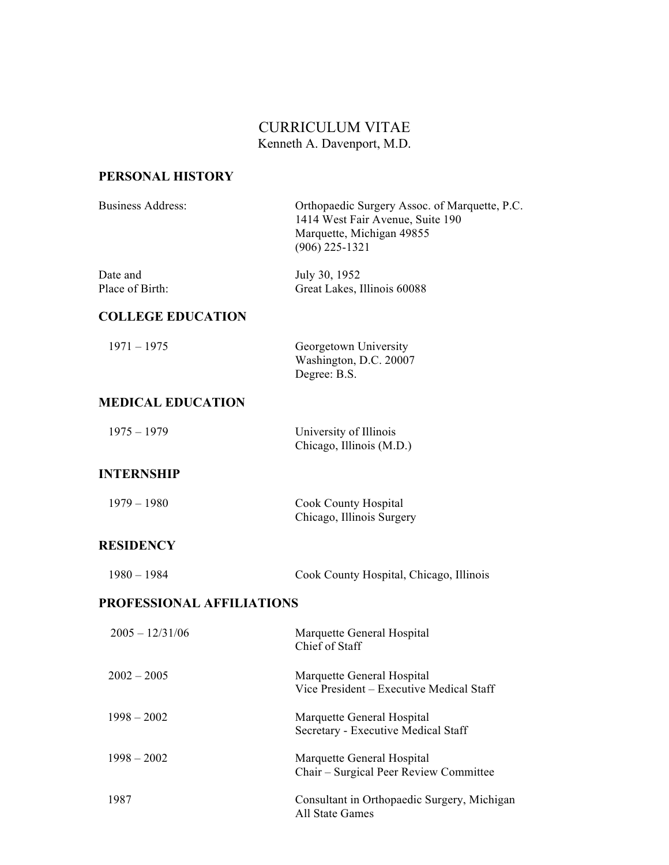### CURRICULUM VITAE Kenneth A. Davenport, M.D.

### **PERSONAL HISTORY**

| <b>Business Address:</b>    | Orthopaedic Surgery Assoc. of Marquette, P.C.<br>1414 West Fair Avenue, Suite 190<br>Marquette, Michigan 49855<br>$(906)$ 225-1321 |
|-----------------------------|------------------------------------------------------------------------------------------------------------------------------------|
| Date and<br>Place of Birth: | July 30, 1952<br>Great Lakes, Illinois 60088                                                                                       |
| <b>COLLEGE EDUCATION</b>    |                                                                                                                                    |
| $1971 - 1975$               | Georgetown University<br>Washington, D.C. 20007<br>Degree: B.S.                                                                    |
| <b>MEDICAL EDUCATION</b>    |                                                                                                                                    |
| $1975 - 1979$               | University of Illinois<br>Chicago, Illinois (M.D.)                                                                                 |
| <b>INTERNSHIP</b>           |                                                                                                                                    |
| $1979 - 1980$               | <b>Cook County Hospital</b><br>Chicago, Illinois Surgery                                                                           |
| <b>RESIDENCY</b>            |                                                                                                                                    |
| $1980 - 1984$               | Cook County Hospital, Chicago, Illinois                                                                                            |
| PROFESSIONAL AFFILIATIONS   |                                                                                                                                    |
| $2005 - 12/31/06$           | Marquette General Hospital<br>Chief of Staff                                                                                       |
| $2002 - 2005$               | Marquette General Hospital<br>Vice President - Executive Medical Staff                                                             |
| $1998 - 2002$               | Marquette General Hospital<br>Secretary - Executive Medical Staff                                                                  |
| $1998 - 2002$               | Marquette General Hospital<br>Chair – Surgical Peer Review Committee                                                               |
| 1987                        | Consultant in Orthopaedic Surgery, Michigan<br><b>All State Games</b>                                                              |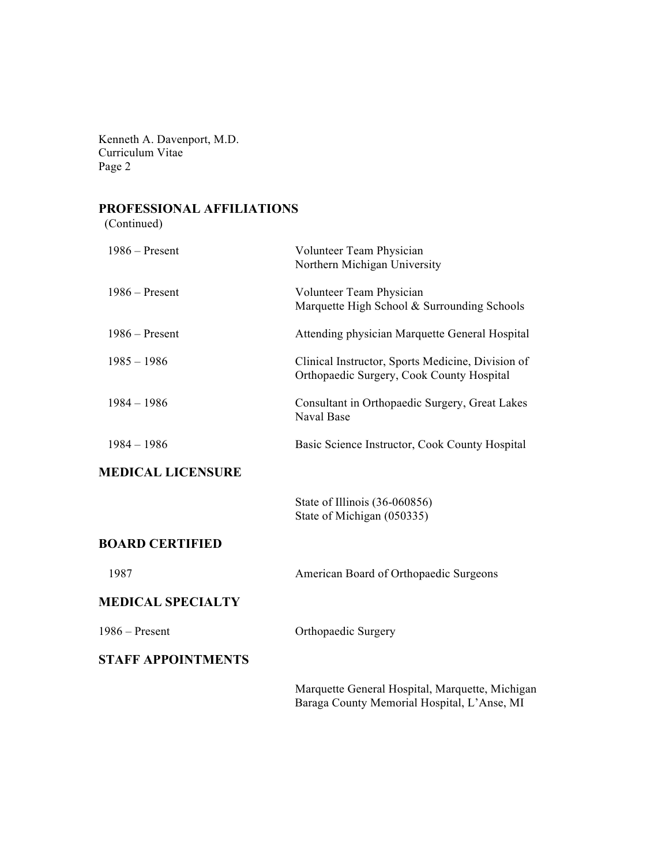# **PROFESSIONAL AFFILIATIONS**

(Continued)

| $1986 -$ Present          | Volunteer Team Physician<br>Northern Michigan University                                       |
|---------------------------|------------------------------------------------------------------------------------------------|
| $1986 -$ Present          | Volunteer Team Physician<br>Marquette High School & Surrounding Schools                        |
| $1986 -$ Present          | Attending physician Marquette General Hospital                                                 |
| $1985 - 1986$             | Clinical Instructor, Sports Medicine, Division of<br>Orthopaedic Surgery, Cook County Hospital |
| $1984 - 1986$             | Consultant in Orthopaedic Surgery, Great Lakes<br>Naval Base                                   |
| $1984 - 1986$             | Basic Science Instructor, Cook County Hospital                                                 |
| <b>MEDICAL LICENSURE</b>  |                                                                                                |
|                           | State of Illinois (36-060856)<br>State of Michigan (050335)                                    |
| <b>BOARD CERTIFIED</b>    |                                                                                                |
| 1987                      | American Board of Orthopaedic Surgeons                                                         |
| <b>MEDICAL SPECIALTY</b>  |                                                                                                |
| $1986 -$ Present          | Orthopaedic Surgery                                                                            |
| <b>STAFF APPOINTMENTS</b> |                                                                                                |
|                           | Marquette General Hospital, Marquette, Michigan<br>Baraga County Memorial Hospital, L'Anse, MI |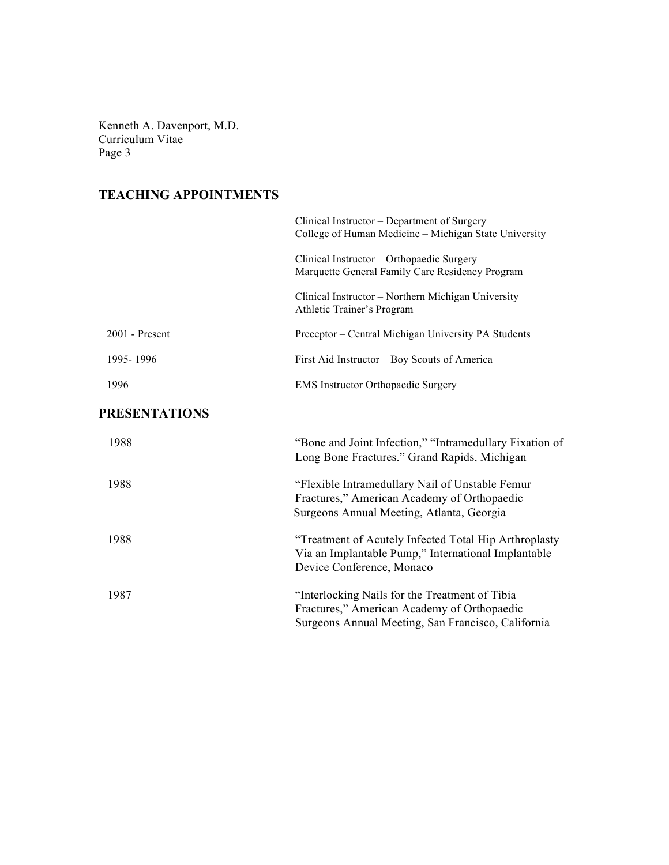## **TEACHING APPOINTMENTS**

|                      | Clinical Instructor – Department of Surgery<br>College of Human Medicine – Michigan State University                                                |
|----------------------|-----------------------------------------------------------------------------------------------------------------------------------------------------|
|                      | Clinical Instructor - Orthopaedic Surgery<br>Marquette General Family Care Residency Program                                                        |
|                      | Clinical Instructor - Northern Michigan University<br>Athletic Trainer's Program                                                                    |
| 2001 - Present       | Preceptor – Central Michigan University PA Students                                                                                                 |
| 1995-1996            | First Aid Instructor – Boy Scouts of America                                                                                                        |
| 1996                 | <b>EMS</b> Instructor Orthopaedic Surgery                                                                                                           |
| <b>PRESENTATIONS</b> |                                                                                                                                                     |
| 1988                 | "Bone and Joint Infection," "Intramedullary Fixation of<br>Long Bone Fractures." Grand Rapids, Michigan                                             |
| 1988                 | "Flexible Intramedullary Nail of Unstable Femur<br>Fractures," American Academy of Orthopaedic<br>Surgeons Annual Meeting, Atlanta, Georgia         |
| 1988                 | "Treatment of Acutely Infected Total Hip Arthroplasty<br>Via an Implantable Pump," International Implantable<br>Device Conference, Monaco           |
| 1987                 | "Interlocking Nails for the Treatment of Tibia<br>Fractures," American Academy of Orthopaedic<br>Surgeons Annual Meeting, San Francisco, California |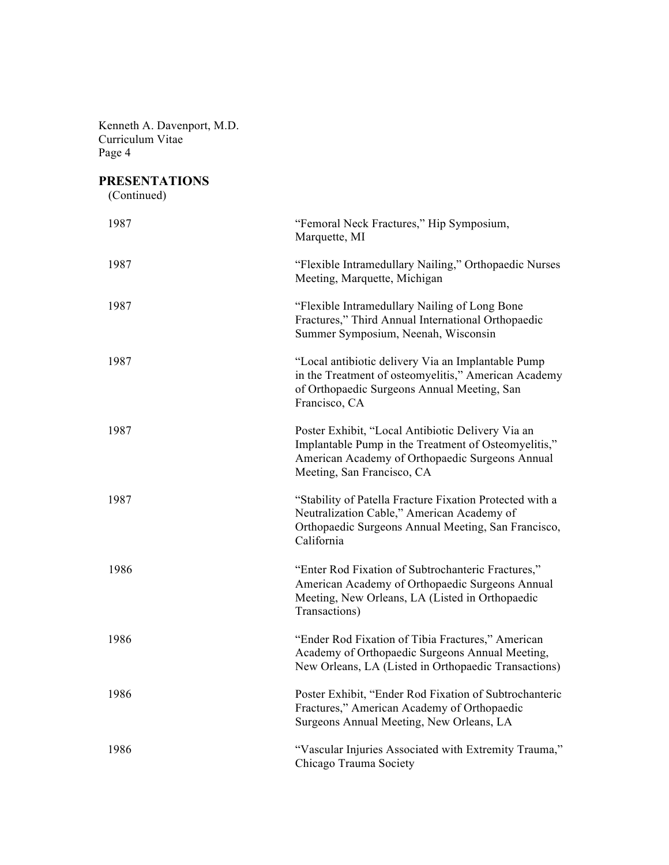## **PRESENTATIONS**

(Continued)

| 1987 | "Femoral Neck Fractures," Hip Symposium,<br>Marquette, MI                                                                                                                                  |
|------|--------------------------------------------------------------------------------------------------------------------------------------------------------------------------------------------|
| 1987 | "Flexible Intramedullary Nailing," Orthopaedic Nurses<br>Meeting, Marquette, Michigan                                                                                                      |
| 1987 | "Flexible Intramedullary Nailing of Long Bone<br>Fractures," Third Annual International Orthopaedic<br>Summer Symposium, Neenah, Wisconsin                                                 |
| 1987 | "Local antibiotic delivery Via an Implantable Pump<br>in the Treatment of osteomyelitis," American Academy<br>of Orthopaedic Surgeons Annual Meeting, San<br>Francisco, CA                 |
| 1987 | Poster Exhibit, "Local Antibiotic Delivery Via an<br>Implantable Pump in the Treatment of Osteomyelitis,"<br>American Academy of Orthopaedic Surgeons Annual<br>Meeting, San Francisco, CA |
| 1987 | "Stability of Patella Fracture Fixation Protected with a<br>Neutralization Cable," American Academy of<br>Orthopaedic Surgeons Annual Meeting, San Francisco,<br>California                |
| 1986 | "Enter Rod Fixation of Subtrochanteric Fractures,"<br>American Academy of Orthopaedic Surgeons Annual<br>Meeting, New Orleans, LA (Listed in Orthopaedic<br>Transactions)                  |
| 1986 | "Ender Rod Fixation of Tibia Fractures," American<br>Academy of Orthopaedic Surgeons Annual Meeting,<br>New Orleans, LA (Listed in Orthopaedic Transactions)                               |
| 1986 | Poster Exhibit, "Ender Rod Fixation of Subtrochanteric<br>Fractures," American Academy of Orthopaedic<br>Surgeons Annual Meeting, New Orleans, LA                                          |
| 1986 | "Vascular Injuries Associated with Extremity Trauma,"<br>Chicago Trauma Society                                                                                                            |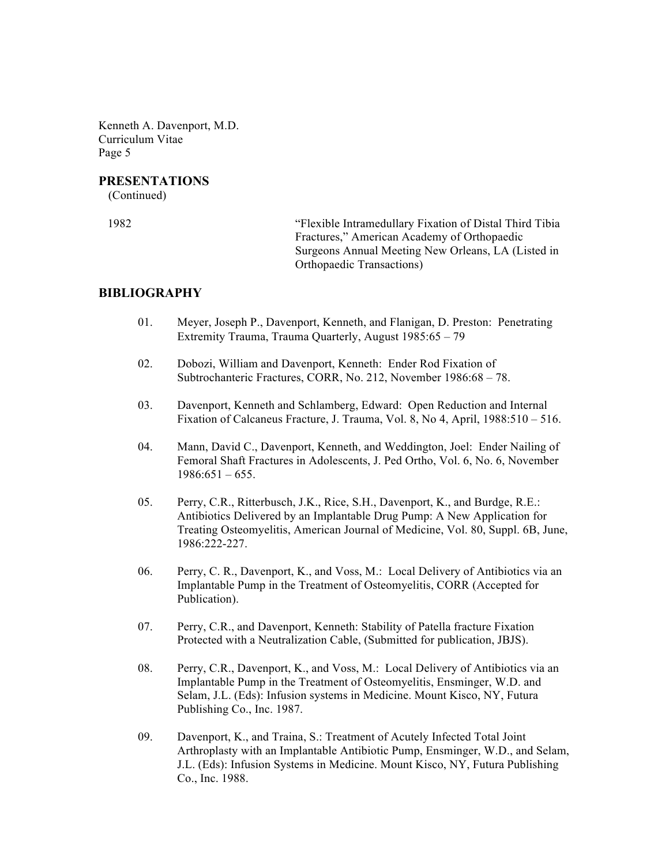#### **PRESENTATIONS**

(Continued)

 1982 "Flexible Intramedullary Fixation of Distal Third Tibia Fractures," American Academy of Orthopaedic Surgeons Annual Meeting New Orleans, LA (Listed in Orthopaedic Transactions)

#### **BIBLIOGRAPHY**

- 01. Meyer, Joseph P., Davenport, Kenneth, and Flanigan, D. Preston: Penetrating Extremity Trauma, Trauma Quarterly, August 1985:65 – 79
- 02. Dobozi, William and Davenport, Kenneth: Ender Rod Fixation of Subtrochanteric Fractures, CORR, No. 212, November 1986:68 – 78.
- 03. Davenport, Kenneth and Schlamberg, Edward: Open Reduction and Internal Fixation of Calcaneus Fracture, J. Trauma, Vol. 8, No 4, April, 1988:510 – 516.
- 04. Mann, David C., Davenport, Kenneth, and Weddington, Joel: Ender Nailing of Femoral Shaft Fractures in Adolescents, J. Ped Ortho, Vol. 6, No. 6, November  $1986:651 - 655$ .
- 05. Perry, C.R., Ritterbusch, J.K., Rice, S.H., Davenport, K., and Burdge, R.E.: Antibiotics Delivered by an Implantable Drug Pump: A New Application for Treating Osteomyelitis, American Journal of Medicine, Vol. 80, Suppl. 6B, June, 1986:222-227.
- 06. Perry, C. R., Davenport, K., and Voss, M.: Local Delivery of Antibiotics via an Implantable Pump in the Treatment of Osteomyelitis, CORR (Accepted for Publication).
- 07. Perry, C.R., and Davenport, Kenneth: Stability of Patella fracture Fixation Protected with a Neutralization Cable, (Submitted for publication, JBJS).
- 08. Perry, C.R., Davenport, K., and Voss, M.: Local Delivery of Antibiotics via an Implantable Pump in the Treatment of Osteomyelitis, Ensminger, W.D. and Selam, J.L. (Eds): Infusion systems in Medicine. Mount Kisco, NY, Futura Publishing Co., Inc. 1987.
- 09. Davenport, K., and Traina, S.: Treatment of Acutely Infected Total Joint Arthroplasty with an Implantable Antibiotic Pump, Ensminger, W.D., and Selam, J.L. (Eds): Infusion Systems in Medicine. Mount Kisco, NY, Futura Publishing Co., Inc. 1988.